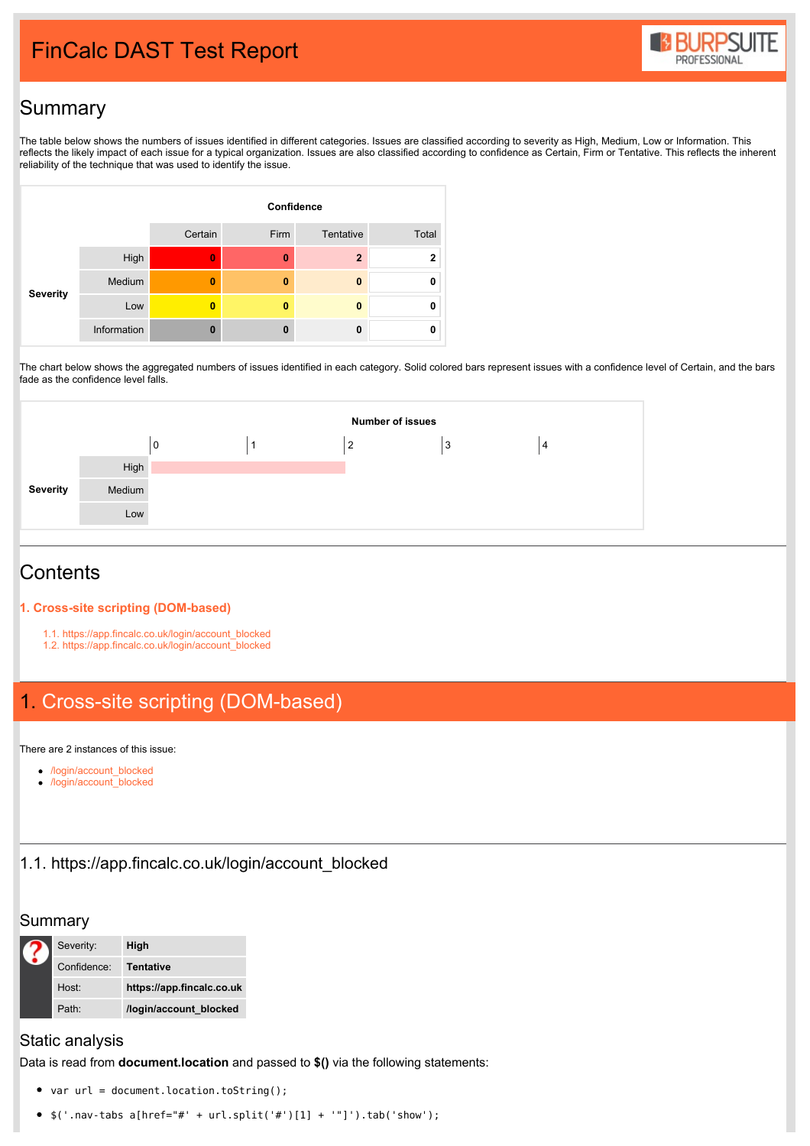# FinCalc DAST Test Report



## **Summary**

The table below shows the numbers of issues identified in different categories. Issues are classified according to severity as High, Medium, Low or Information. This reflects the likely impact of each issue for a typical organization. Issues are also classified according to confidence as Certain, Firm or Tentative. This reflects the inherent reliability of the technique that was used to identify the issue.



The chart below shows the aggregated numbers of issues identified in each category. Solid colored bars represent issues with a confidence level of Certain, and the bars fade as the confidence level falls.

|                 |        | <b>Number of issues</b> |  |                |   |   |  |
|-----------------|--------|-------------------------|--|----------------|---|---|--|
|                 |        | l 0                     |  | $\overline{2}$ | 3 | 4 |  |
| <b>Severity</b> | High   |                         |  |                |   |   |  |
|                 | Medium |                         |  |                |   |   |  |
|                 | Low    |                         |  |                |   |   |  |

### **Contents**

#### **1. Cross-site scripting [\(DOM-based\)](https://html2pdf.com/files/3d1vm5n2p1dcs109/file_1s1q13nj1ddc1iqt16jv1i00bb/Authenticated.html#1)**

1.1. [https://app.fincalc.co.uk/login/account\\_blocked](https://html2pdf.com/files/3d1vm5n2p1dcs109/file_1s1q13nj1ddc1iqt16jv1i00bb/Authenticated.html#1.1) 1.2. [https://app.fincalc.co.uk/login/account\\_blocked](https://html2pdf.com/files/3d1vm5n2p1dcs109/file_1s1q13nj1ddc1iqt16jv1i00bb/Authenticated.html#1.2)

## 1. Cross-site scripting [\(DOM-based\)](https://portswigger.net/knowledgebase/issues/details/00200310_crosssitescriptingdombased)

There are 2 instances of this issue:

- [/login/account\\_blocked](https://html2pdf.com/files/3d1vm5n2p1dcs109/file_1s1q13nj1ddc1iqt16jv1i00bb/Authenticated.html#1.1)
- $\bullet$ [/login/account\\_blocked](https://html2pdf.com/files/3d1vm5n2p1dcs109/file_1s1q13nj1ddc1iqt16jv1i00bb/Authenticated.html#1.2)

## 1.1. https://app.fincalc.co.uk/login/account\_blocked

#### **Summary**

|  | Severity:         | High                      |
|--|-------------------|---------------------------|
|  | Confidence:       | Tentative                 |
|  | Host <sup>.</sup> | https://app.fincalc.co.uk |
|  | Path <sup>.</sup> | /login/account blocked    |

### Static analysis

Data is read from **document.location** and passed to **\$()** via the following statements:

- var  $url = document.location.toString();$
- $$('.nav-tabs a[href="#' + url.split('#')[1] + '"]') .tab('show');$